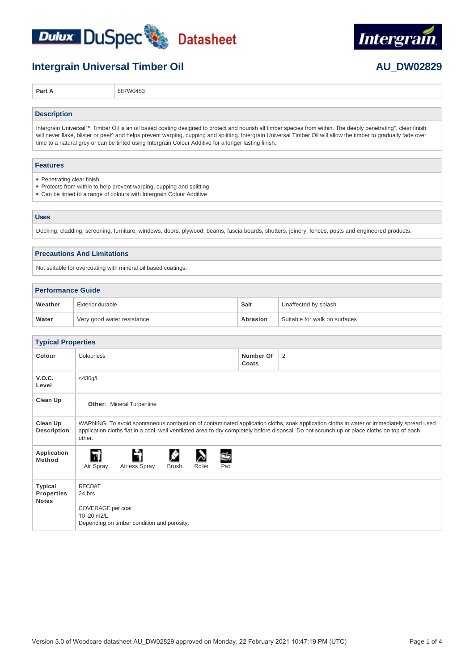



### **Intergrain Universal Timber Oil AU\_DW02829**

**Part A** 887W0453

#### **Description**

Intergrain Universal™ Timber Oil is an oil based coating designed to protect and nourish all timber species from within. The deeply penetrating\*, clear finish will never flake, blister or peel^ and helps prevent warping, cupping and splitting. Intergrain Universal Timber Oil will allow the timber to gradually fade over time to a natural grey or can be tinted using Intergrain Colour Additive for a longer lasting finish.

#### **Features**

- Penetrating clear finish
- Protects from within to help prevent warping, cupping and splitting
- Can be tinted to a range of colours with Intergrain Colour Additive

#### **Uses**

Decking, cladding, screening, furniture, windows, doors, plywood, beams, fascia boards, shutters, joinery, fences, posts and engineered products.

#### **Precautions And Limitations**

Not suitable for overcoating with mineral oil based coatings.

| <b>Performance Guide</b> |                            |          |                               |
|--------------------------|----------------------------|----------|-------------------------------|
| Weather                  | Exterior durable           | Salt     | Unaffected by splash          |
| Water                    | Very good water resistance | Abrasion | Suitable for walk on surfaces |

| <b>Typical Properties</b>                           |                                                                                                                                                                                                                                                                                                   |                    |   |  |
|-----------------------------------------------------|---------------------------------------------------------------------------------------------------------------------------------------------------------------------------------------------------------------------------------------------------------------------------------------------------|--------------------|---|--|
| Colour                                              | Colourless                                                                                                                                                                                                                                                                                        | Number Of<br>Coats | 2 |  |
| V.O.C.<br>Level                                     | $<$ 430g/L                                                                                                                                                                                                                                                                                        |                    |   |  |
| Clean Up                                            | <b>Other:</b> Mineral Turpentine                                                                                                                                                                                                                                                                  |                    |   |  |
| Clean Up<br><b>Description</b>                      | WARNING: To avoid spontaneous combustion of contaminated application cloths, soak application cloths in water or immediately spread used<br>application cloths flat in a cool, well ventilated area to dry completely before disposal. Do not scrunch up or place cloths on top of each<br>other. |                    |   |  |
| Application<br><b>Method</b>                        | Air Spray<br>Airless Spray<br>Roller<br>Pad<br><b>Brush</b>                                                                                                                                                                                                                                       |                    |   |  |
| <b>Typical</b><br><b>Properties</b><br><b>Notes</b> | <b>RECOAT</b><br>24 hrs<br>COVERAGE per coat<br>10-20 m2/L<br>Depending on timber condition and porosity.                                                                                                                                                                                         |                    |   |  |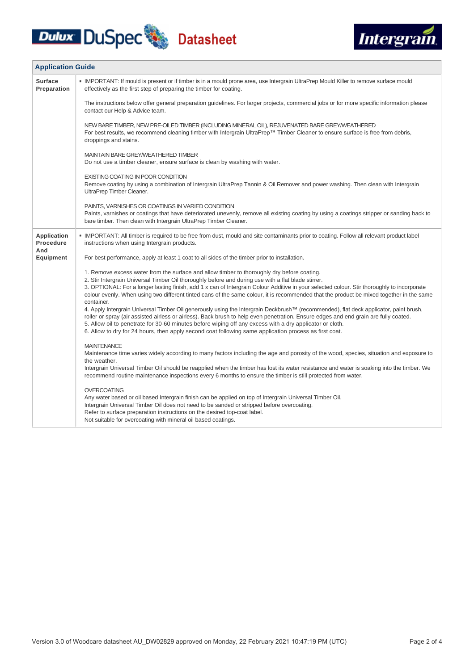## Dulux DuSpec Datasheet



| <b>Application Guide</b>               |                                                                                                                                                                                                                                                                                                                                                                                                                                                                                                                                                                                                                                                                                                                                                                                                                                                                                                                                                                                                                   |
|----------------------------------------|-------------------------------------------------------------------------------------------------------------------------------------------------------------------------------------------------------------------------------------------------------------------------------------------------------------------------------------------------------------------------------------------------------------------------------------------------------------------------------------------------------------------------------------------------------------------------------------------------------------------------------------------------------------------------------------------------------------------------------------------------------------------------------------------------------------------------------------------------------------------------------------------------------------------------------------------------------------------------------------------------------------------|
| <b>Surface</b><br>Preparation          | IMPORTANT: If mould is present or if timber is in a mould prone area, use Intergrain UltraPrep Mould Killer to remove surface mould<br>effectively as the first step of preparing the timber for coating.                                                                                                                                                                                                                                                                                                                                                                                                                                                                                                                                                                                                                                                                                                                                                                                                         |
|                                        | The instructions below offer general preparation guidelines. For larger projects, commercial jobs or for more specific information please<br>contact our Help & Advice team.                                                                                                                                                                                                                                                                                                                                                                                                                                                                                                                                                                                                                                                                                                                                                                                                                                      |
|                                        | NEW BARE TIMBER, NEW PRE-OILED TIMBER (INCLUDING MINERAL OIL), REJUVENATED BARE GREY/WEATHERED<br>For best results, we recommend cleaning timber with Intergrain UltraPrep™ Timber Cleaner to ensure surface is free from debris,<br>droppings and stains.                                                                                                                                                                                                                                                                                                                                                                                                                                                                                                                                                                                                                                                                                                                                                        |
|                                        | MAINTAIN BARE GREY/WEATHERED TIMBER<br>Do not use a timber cleaner, ensure surface is clean by washing with water.                                                                                                                                                                                                                                                                                                                                                                                                                                                                                                                                                                                                                                                                                                                                                                                                                                                                                                |
|                                        | <b>EXISTING COATING IN POOR CONDITION</b><br>Remove coating by using a combination of Intergrain UltraPrep Tannin & Oil Remover and power washing. Then clean with Intergrain<br>UltraPrep Timber Cleaner.                                                                                                                                                                                                                                                                                                                                                                                                                                                                                                                                                                                                                                                                                                                                                                                                        |
|                                        | PAINTS, VARNISHES OR COATINGS IN VARIED CONDITION<br>Paints, varnishes or coatings that have deteriorated unevenly, remove all existing coating by using a coatings stripper or sanding back to<br>bare timber. Then clean with Intergrain UltraPrep Timber Cleaner.                                                                                                                                                                                                                                                                                                                                                                                                                                                                                                                                                                                                                                                                                                                                              |
| <b>Application</b><br>Procedure<br>And | • IMPORTANT: All timber is required to be free from dust, mould and site contaminants prior to coating. Follow all relevant product label<br>instructions when using Intergrain products.                                                                                                                                                                                                                                                                                                                                                                                                                                                                                                                                                                                                                                                                                                                                                                                                                         |
| Equipment                              | For best performance, apply at least 1 coat to all sides of the timber prior to installation.                                                                                                                                                                                                                                                                                                                                                                                                                                                                                                                                                                                                                                                                                                                                                                                                                                                                                                                     |
|                                        | 1. Remove excess water from the surface and allow timber to thoroughly dry before coating.<br>2. Stir Intergrain Universal Timber Oil thoroughly before and during use with a flat blade stirrer.<br>3. OPTIONAL: For a longer lasting finish, add 1 x can of Intergrain Colour Additive in your selected colour. Stir thoroughly to incorporate<br>colour evenly. When using two different tinted cans of the same colour, it is recommended that the product be mixed together in the same<br>container.<br>4. Apply Intergrain Universal Timber Oil generously using the Intergrain Deckbrush™ (recommended), flat deck applicator, paint brush,<br>roller or spray (air assisted airless or airless). Back brush to help even penetration. Ensure edges and end grain are fully coated.<br>5. Allow oil to penetrate for 30-60 minutes before wiping off any excess with a dry applicator or cloth.<br>6. Allow to dry for 24 hours, then apply second coat following same application process as first coat. |
|                                        | <b>MAINTENANCE</b><br>Maintenance time varies widely according to many factors including the age and porosity of the wood, species, situation and exposure to<br>the weather.<br>Intergrain Universal Timber Oil should be reapplied when the timber has lost its water resistance and water is soaking into the timber. We<br>recommend routine maintenance inspections every 6 months to ensure the timber is still protected from water.                                                                                                                                                                                                                                                                                                                                                                                                                                                                                                                                                                       |
|                                        | <b>OVERCOATING</b><br>Any water based or oil based Intergrain finish can be applied on top of Intergrain Universal Timber Oil.<br>Intergrain Universal Timber Oil does not need to be sanded or stripped before overcoating.<br>Refer to surface preparation instructions on the desired top-coat label.<br>Not suitable for overcoating with mineral oil based coatings.                                                                                                                                                                                                                                                                                                                                                                                                                                                                                                                                                                                                                                         |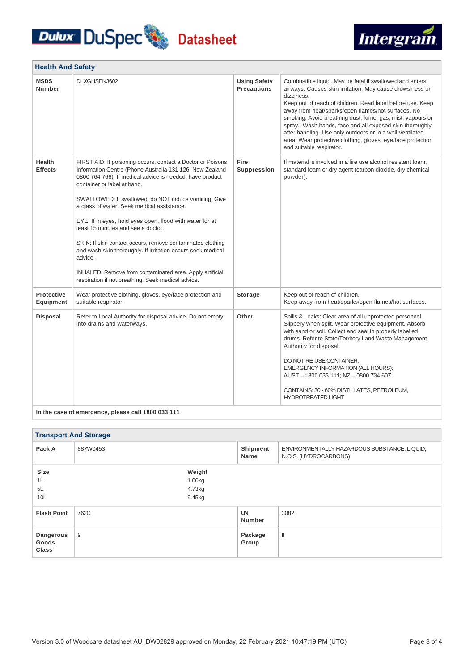# **Dulux DuSpec** Datasheet



| <b>Health And Safety</b>        |                                                                                                                                                                                                                                                                                                                                                                                                                                                                                                                                                                                                                                                                                       |                                           |                                                                                                                                                                                                                                                                                                                                                                                                                                                                                                                                        |  |
|---------------------------------|---------------------------------------------------------------------------------------------------------------------------------------------------------------------------------------------------------------------------------------------------------------------------------------------------------------------------------------------------------------------------------------------------------------------------------------------------------------------------------------------------------------------------------------------------------------------------------------------------------------------------------------------------------------------------------------|-------------------------------------------|----------------------------------------------------------------------------------------------------------------------------------------------------------------------------------------------------------------------------------------------------------------------------------------------------------------------------------------------------------------------------------------------------------------------------------------------------------------------------------------------------------------------------------------|--|
| <b>MSDS</b><br><b>Number</b>    | DLXGHSEN3602                                                                                                                                                                                                                                                                                                                                                                                                                                                                                                                                                                                                                                                                          | <b>Using Safety</b><br><b>Precautions</b> | Combustible liquid. May be fatal if swallowed and enters<br>airways. Causes skin irritation. May cause drowsiness or<br>dizziness.<br>Keep out of reach of children. Read label before use. Keep<br>away from heat/sparks/open flames/hot surfaces. No<br>smoking. Avoid breathing dust, fume, gas, mist, vapours or<br>spray Wash hands, face and all exposed skin thoroughly<br>after handling. Use only outdoors or in a well-ventilated<br>area. Wear protective clothing, gloves, eye/face protection<br>and suitable respirator. |  |
| <b>Health</b><br><b>Effects</b> | FIRST AID: If poisoning occurs, contact a Doctor or Poisons<br>Information Centre (Phone Australia 131 126; New Zealand<br>0800 764 766). If medical advice is needed, have product<br>container or label at hand.<br>SWALLOWED: If swallowed, do NOT induce vomiting. Give<br>a glass of water. Seek medical assistance.<br>EYE: If in eyes, hold eyes open, flood with water for at<br>least 15 minutes and see a doctor.<br>SKIN: If skin contact occurs, remove contaminated clothing<br>and wash skin thoroughly. If irritation occurs seek medical<br>advice.<br>INHALED: Remove from contaminated area. Apply artificial<br>respiration if not breathing. Seek medical advice. | <b>Fire</b><br>Suppression                | If material is involved in a fire use alcohol resistant foam.<br>standard foam or dry agent (carbon dioxide, dry chemical<br>powder).                                                                                                                                                                                                                                                                                                                                                                                                  |  |
| <b>Protective</b><br>Equipment  | Wear protective clothing, gloves, eye/face protection and<br><b>Storage</b><br>suitable respirator.                                                                                                                                                                                                                                                                                                                                                                                                                                                                                                                                                                                   |                                           | Keep out of reach of children.<br>Keep away from heat/sparks/open flames/hot surfaces.                                                                                                                                                                                                                                                                                                                                                                                                                                                 |  |
| <b>Disposal</b>                 | Refer to Local Authority for disposal advice. Do not empty<br>into drains and waterways.                                                                                                                                                                                                                                                                                                                                                                                                                                                                                                                                                                                              | Other                                     | Spills & Leaks: Clear area of all unprotected personnel.<br>Slippery when spilt. Wear protective equipment. Absorb<br>with sand or soil. Collect and seal in properly labelled<br>drums. Refer to State/Territory Land Waste Management<br>Authority for disposal.<br>DO NOT RE-USE CONTAINER.<br><b>EMERGENCY INFORMATION (ALL HOURS):</b><br>AUST - 1800 033 111; NZ - 0800 734 607.<br>CONTAINS: 30 - 60% DISTILLATES, PETROLEUM,<br><b>HYDROTREATED LIGHT</b>                                                                      |  |

**In the case of emergency, please call 1800 033 111**

| <b>Transport And Storage</b>              |          |                                      |                            |                                                                       |
|-------------------------------------------|----------|--------------------------------------|----------------------------|-----------------------------------------------------------------------|
| Pack A                                    | 887W0453 |                                      | Shipment<br><b>Name</b>    | ENVIRONMENTALLY HAZARDOUS SUBSTANCE, LIQUID,<br>N.O.S. (HYDROCARBONS) |
| Size<br>1L<br>5L<br>10 <sub>L</sub>       |          | Weight<br>1.00kg<br>4.73kg<br>9.45kg |                            |                                                                       |
| <b>Flash Point</b>                        | >62C     |                                      | <b>UN</b><br><b>Number</b> | 3082                                                                  |
| <b>Dangerous</b><br>Goods<br><b>Class</b> | 9        |                                      | Package<br>Group           | ⊪                                                                     |